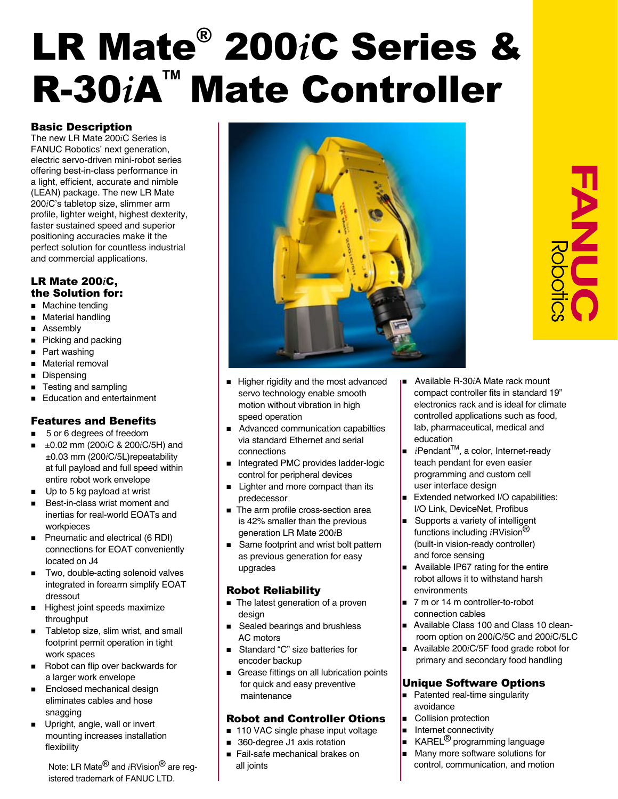# LR Mate® 200*i*C Series & **R-30***i***A<sup>™</sup> Mate Controller**

# Basic Description

The new LR Mate 200*i*C Series is FANUC Robotics' next generation, electric servo-driven mini-robot series offering best-in-class performance in a light, efficient, accurate and nimble (LEAN) package. The new LR Mate 200*i*C's tabletop size, slimmer arm profile, lighter weight, highest dexterity, faster sustained speed and superior positioning accuracies make it the perfect solution for countless industrial and commercial applications.

### LR Mate 200*i*C, the Solution for:

- **n** Machine tending
- **n** Material handling
- **n** Assembly
- Picking and packing
- $\blacksquare$  Part washing
- **n** Material removal
- Dispensing
- **n** Testing and sampling
- Education and entertainment

# Features and Benefits

- 5 or 6 degrees of freedom
- n ±0.02 mm (200*i*C & 200*i*C/5H) and ±0.03 mm (200*i*C/5L)repeatability at full payload and full speed within entire robot work envelope
- $\blacksquare$  Up to 5 kg payload at wrist
- Best-in-class wrist moment and inertias for real-world EOATs and workpieces
- Pneumatic and electrical (6 RDI) connections for EOAT conveniently located on J4
- Two, double-acting solenoid valves integrated in forearm simplify EOAT dressout
- **Highest joint speeds maximize** throughput
- Tabletop size, slim wrist, and small footprint permit operation in tight work spaces
- Robot can flip over backwards for a larger work envelope
- **Enclosed mechanical design**  eliminates cables and hose snagging
- Upright, angle, wall or invert mounting increases installation flexibility

istered trademark of FANUC LTD.



- 
- Higher rigidity and the most advanced servo technology enable smooth motion without vibration in high speed operation
- Advanced communication capabilties via standard Ethernet and serial connections
- Integrated PMC provides ladder-logic control for peripheral devices
- Lighter and more compact than its predecessor
- The arm profile cross-section area is 42% smaller than the previous generation LR Mate 200*i*B
- Same footprint and wrist bolt pattern as previous generation for easy upgrades

# Robot Reliability

- $\blacksquare$  The latest generation of a proven design
- Sealed bearings and brushless AC motors
- Standard "C" size batteries for encoder backup
- Grease fittings on all lubrication points for quick and easy preventive maintenance

# Robot and Controller Otions

- $\blacksquare$  110 VAC single phase input voltage
- 360-degree J1 axis rotation
- Fail-safe mechanical brakes on all joints
- <sup>n</sup> Available R-30*i*A Mate rack mount compact controller fits in standard 19" electronics rack and is ideal for climate controlled applications such as food, lab, pharmaceutical, medical and education
- *i*Pendant<sup>™</sup>, a color, Internet-ready teach pendant for even easier programming and custom cell user interface design
- Extended networked I/O capabilities: I/O Link, DeviceNet, Profibus
- Supports a variety of intelligent functions including *i*RVision® (built-in vision-ready controller) and force sensing
- Available IP67 rating for the entire robot allows it to withstand harsh environments
- 7 m or 14 m controller-to-robot connection cables
- **No Available Class 100 and Class 10 clean**room option on 200*i*C/5C and 200*i*C/5LC
- Available 200*i*C/5F food grade robot for primary and secondary food handling

# Unique Software Options

- **Patented real-time singularity** avoidance
- **n** Collision protection
- $\blacksquare$  Internet connectivity
- $\blacksquare$  KAREL<sup>®</sup> programming language
- $\blacksquare$  Many more software solutions for Note: LR Mate<sup>®</sup> and *i*RVision<sup>®</sup> are reg- **control** all joints and motion communication, and motion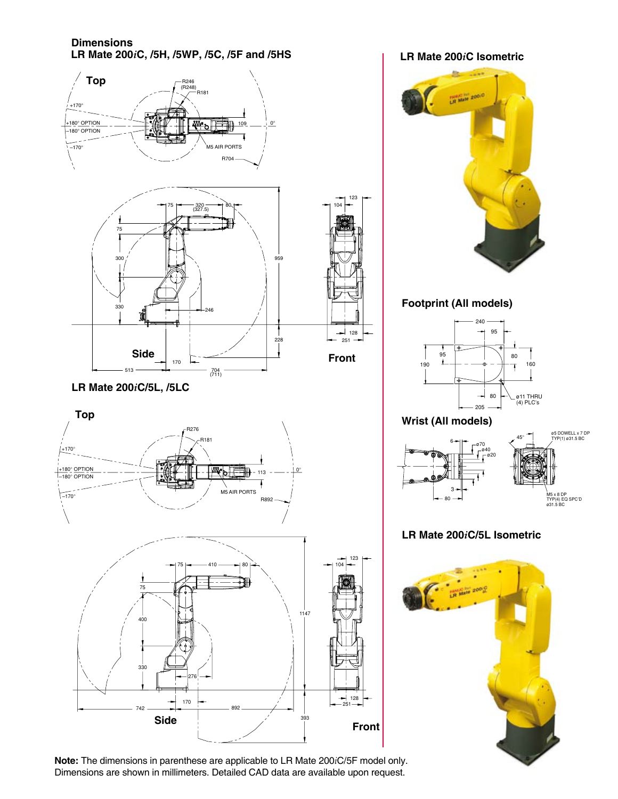**Dimensions LR Mate 200***i***C, /5H, /5WP, /5C, /5F and /5HS LR Mate 200***i***C Isometric**



**Footprint (All models) Wrist (All models)** ø20 ø40 ø70  $6 \rightarrow 45^\circ$ ø5 DOWELL x 7 DP TYP(1) ø31.5 BC 240 95  $\frac{95}{1}$ 190 80 80 160 205 ø11 THRU (4) PLC's



# **LR Mate 200***i***C/5L Isometric**



**Note:** The dimensions in parenthese are applicable to LR Mate 200*i*C/5F model only. Dimensions are shown in millimeters. Detailed CAD data are available upon request.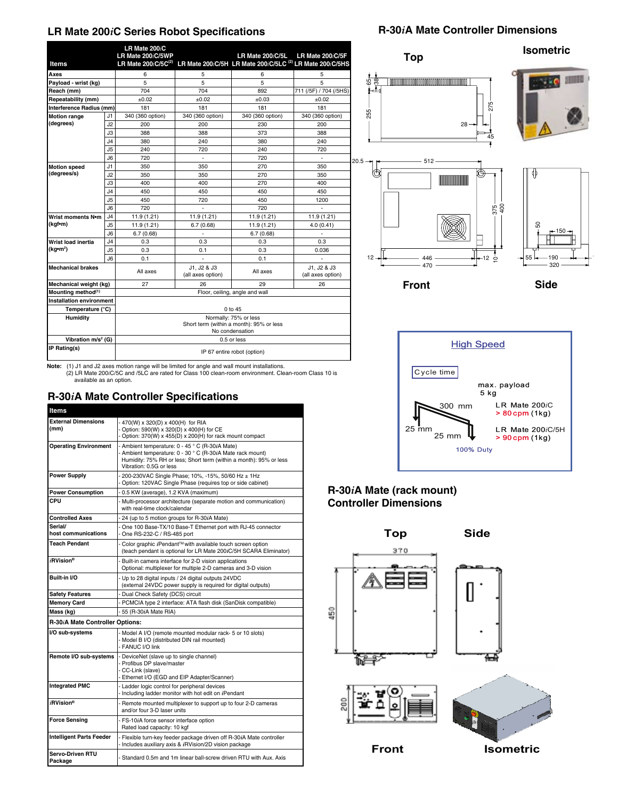### **LR Mate 200***i***C Series Robot Specifications**

#### **Items LR Mate 200***i***C** LR Mate 200*iC/5*WP LR Mate 200*iC/5L* LR Mate 200*iC/5F*<br>LR Mate 200*iC/5C<sup>(2)</sup>* LR Mate 200*iC/5*H LR Mate 200*iC/5LC <sup>(2)</sup> L*R Mate 200*iC/5*HS **Axes | 6 | 5 6 5 Payload - wrist (kg)** 5 5 5 5 5 5 5 **Reach (mm)** 704 704 892 711 (/5F) / 704 (/5HS)<br>**Repeatability (mm)**  $\pm 0.02$   $\pm 0.02$   $\pm 0.03$   $\pm 0.02$ **Repeatability (mm)**  $\pm 0.02$   $\pm 0.02$   $\pm 0.03$   $\pm 0.02$ **Interference Radius (mm)** 181 181 181 181 181 181<br> **Interference Radius (mm)** 181 340 (360 option) 340 (360 option) 340 (360 option) 340 (360 option) **Motion range (degrees)** J1 340 (360 option) 340 (360 option) 340 (360 option) 340 (360 option) J2 200 200 230 200 J3 | 388 | 388 | 373 | 388 J4 380 240 380 240 J5 240 720 240 720 J6 720 - 720 - **Motion speed (degrees/s)** J1 350 350 270 350 J2 350 350 270 350 J3 400 400 270 400 J4 450 450 450 450 J5 450 720 450 1200 J6 720 - 720 - **Wrist moments N•m (kgf•m)** J4 11.9 (1.21) 11.9 (1.21) 11.9 (1.21) 11.9 (1.21) 11.9 (1.21) J5 11.9 (1.21) 6.7 (0.68) 11.9 (1.21) 4.0 (0.41) J6 6.7 (0.68) - 6.7 (0.68) **Wrist load inertia (kg•m<sup>2</sup> )** J4 0.3 0.3 0.3 0.3 J5 0.3 0.1 0.3 0.036 J6 0.1 - 0.1 - **Mechanical brakes** All axes J1, J2 & J3 11, J2 & J3<br>(all axes option) All axes  $\frac{J1}{2}$ , J2 & J3 (all axes option) **Mechanical weight (kg)** 27 26 29 26 29 26<br> **Mounting method**<sup>(1)</sup> 27 Floor, ceiling, angle and wall Floor, ceiling, angle and wall **Installation environment** Temperature (°C) 0 to 45 **Humidity** Normally: 75% or less Short term (within a month): 95% or less No condensation **Vibration m/s<sup>2</sup> (G) (G)** 0.5 or less **IP Rating(s) IP 67 entire robot (option)**



**Note:** (1) J1 and J2 axes motion range will be limited for angle and wall mount installations. (2) LR Mate 200*i*C/5C and /5LC are rated for Class 100 clean-room environment. Clean-room Class 10 is available as an option.

# **R-30***i***A Mate Controller Specifications**

| <b>Items</b>                    |                                                                                                                                   |
|---------------------------------|-----------------------------------------------------------------------------------------------------------------------------------|
| <b>External Dimensions</b>      | - 470(W) x 320(D) x 400(H) for RIA                                                                                                |
| (mm)                            | - Option: 590(W) x 320(D) x 400(H) for CE                                                                                         |
|                                 | - Option: 370(W) x 455(D) x 200(H) for rack mount compact                                                                         |
| <b>Operating Environment</b>    | - Ambient temperature: 0 - 45 ° C (R-30iA Mate)<br>- Ambient temperature: 0 - 30 ° C (R-30iA Mate rack mount)                     |
|                                 | Humidity: 75% RH or less; Short term (within a month): 95% or less                                                                |
|                                 | Vibration: 0.5G or less                                                                                                           |
| <b>Power Supply</b>             | - 200-230VAC Single Phase; 10%, -15%, 50/60 Hz ± 1Hz                                                                              |
|                                 | - Option: 120VAC Single Phase (requires top or side cabinet)                                                                      |
| <b>Power Consumption</b>        | - 0.5 KW (average), 1.2 KVA (maximum)                                                                                             |
| CPU                             | - Multi-processor architecture (separate motion and communication)<br>with real-time clock/calendar                               |
| <b>Controlled Axes</b>          | - 24 (up to 5 motion groups for R-30iA Mate)                                                                                      |
| Serial/<br>host communications  | - One 100 Base-TX/10 Base-T Ethernet port with RJ-45 connector<br>- One RS-232-C / RS-485 port                                    |
| <b>Teach Pendant</b>            | - Color graphic iPendant™ with available touch screen option<br>(teach pendant is optional for LR Mate 200iC/5H SCARA Eliminator) |
| $i$ RVision®                    | - Built-in camera interface for 2-D vision applications<br>Optional: multiplexer for multiple 2-D cameras and 3-D vision          |
| Built-in I/O                    | - Up to 28 digital inputs / 24 digital outputs 24VDC<br>(external 24VDC power supply is required for digital outputs)             |
| <b>Safety Features</b>          | - Dual Check Safety (DCS) circuit                                                                                                 |
| <b>Memory Card</b>              | - PCMCIA type 2 interface: ATA flash disk (SanDisk compatible)                                                                    |
| Mass (kg)                       | - 55 (R-30iA Mate RIA)                                                                                                            |
| R-30 A Mate Controller Options: |                                                                                                                                   |
| I/O sub-systems                 | - Model A I/O (remote mounted modular rack- 5 or 10 slots)                                                                        |
|                                 | - Model B I/O (distributed DIN rail mounted)<br>- FANUC I/O link                                                                  |
| Remote I/O sub-systems          | - DeviceNet (slave up to single channel)                                                                                          |
|                                 | - Profibus DP slave/master                                                                                                        |
|                                 | - CC-Link (slave)                                                                                                                 |
|                                 | - Ethernet I/O (EGD and EIP Adapter/Scanner)                                                                                      |
| <b>Integrated PMC</b>           | - Ladder logic control for peripheral devices<br>- Including ladder monitor with hot edit on iPendant                             |
| <i>i</i> RVision®               | - Remote mounted multiplexer to support up to four 2-D cameras<br>and/or four 3-D laser units                                     |
| <b>Force Sensing</b>            | - FS-10iA force sensor interface option<br>Rated load capacity: 10 kgf                                                            |
| Intelligent Parts Feeder        | - Flexible turn-key feeder package driven off R-30iA Mate controller<br>- Includes auxiliary axis & iRVision/2D vision package    |
| Servo-Driven RTU<br>Package     | - Standard 0.5m and 1m linear ball-screw driven RTU with Aux. Axis                                                                |



**Front Side**

 $\circ$ 

55 <del>| 190 | 190 |</del> 320

 $446$   $12$ 

# **R-30***i***A Mate (rack mount) Controller Dimensions**

12

470

**Top Side** 370 150 ĥΞ